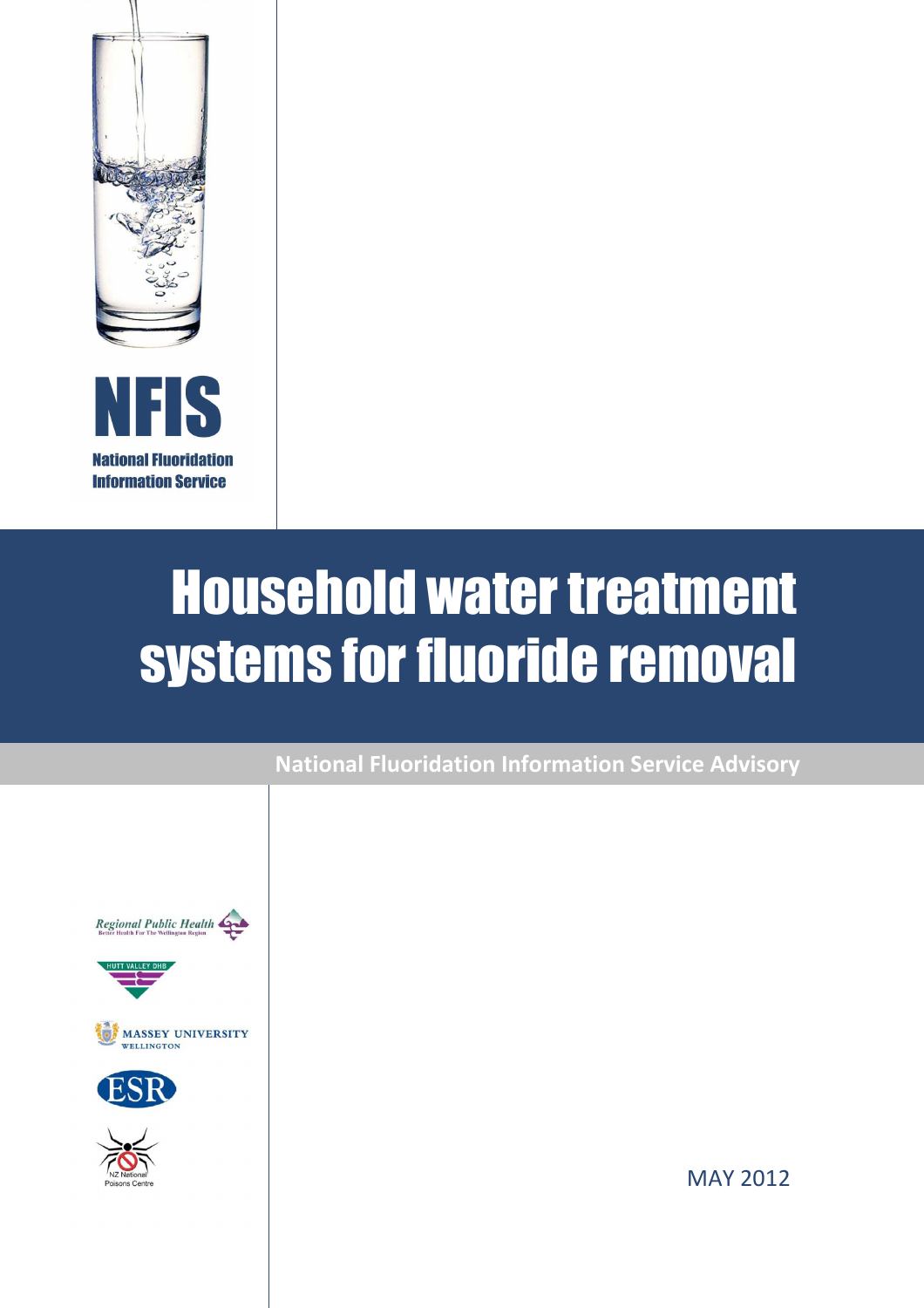

**Information Service** 

# Household water treatment systems for fluoride removal





MAY 2012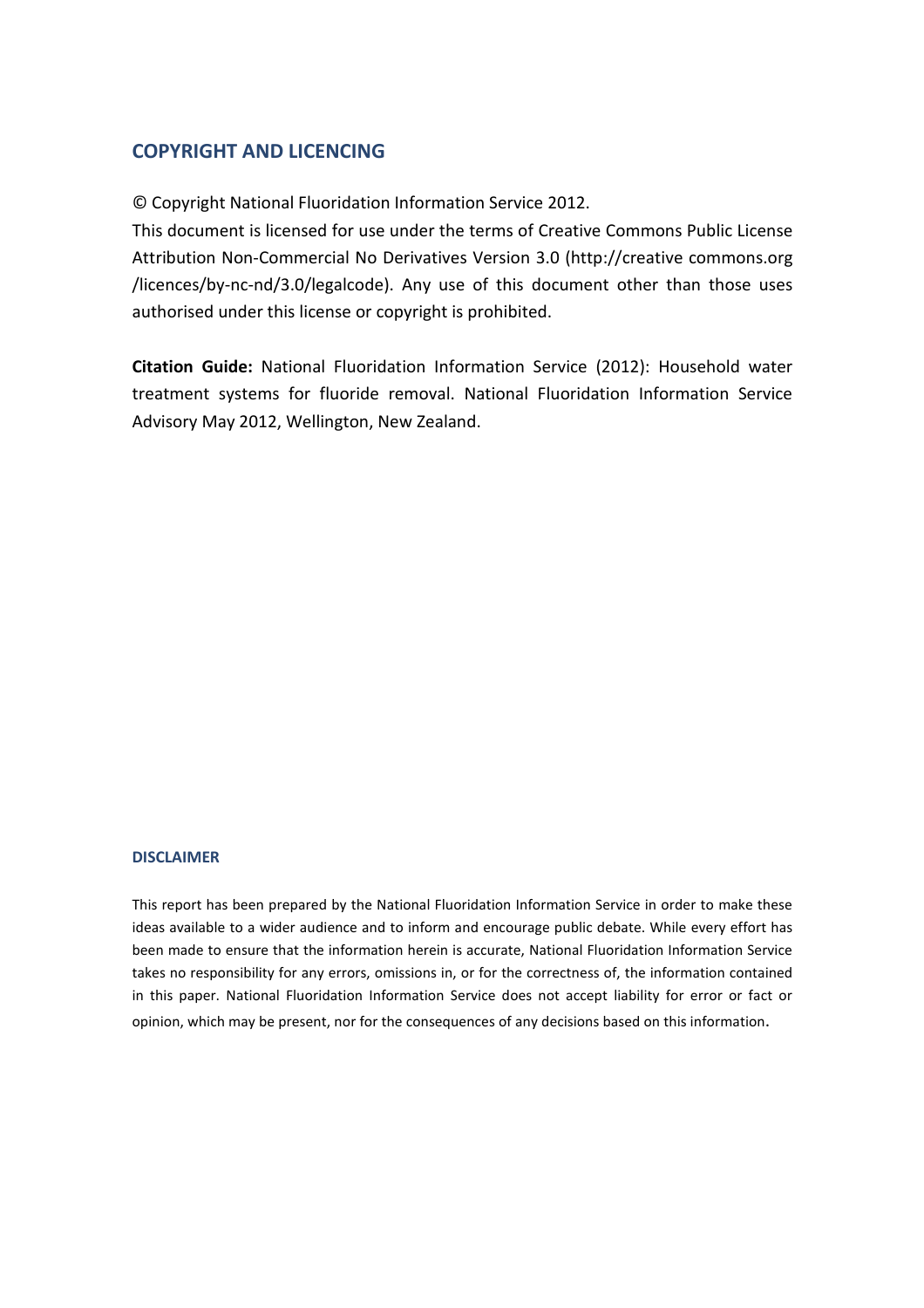## **COPYRIGHT AND LICENCING**

© Copyright National Fluoridation Information Service 2012.

This document is licensed for use under the terms of Creative Commons Public License Attribution Non-Commercial No Derivatives Version 3.0 (http://creative commons.org /licences/by-nc-nd/3.0/legalcode). Any use of this document other than those uses authorised under this license or copyright is prohibited.

**Citation Guide:** National Fluoridation Information Service (2012): Household water treatment systems for fluoride removal. National Fluoridation Information Service Advisory May 2012, Wellington, New Zealand.

#### **DISCLAIMER**

This report has been prepared by the National Fluoridation Information Service in order to make these ideas available to a wider audience and to inform and encourage public debate. While every effort has been made to ensure that the information herein is accurate, National Fluoridation Information Service takes no responsibility for any errors, omissions in, or for the correctness of, the information contained in this paper. National Fluoridation Information Service does not accept liability for error or fact or opinion, which may be present, nor for the consequences of any decisions based on this information.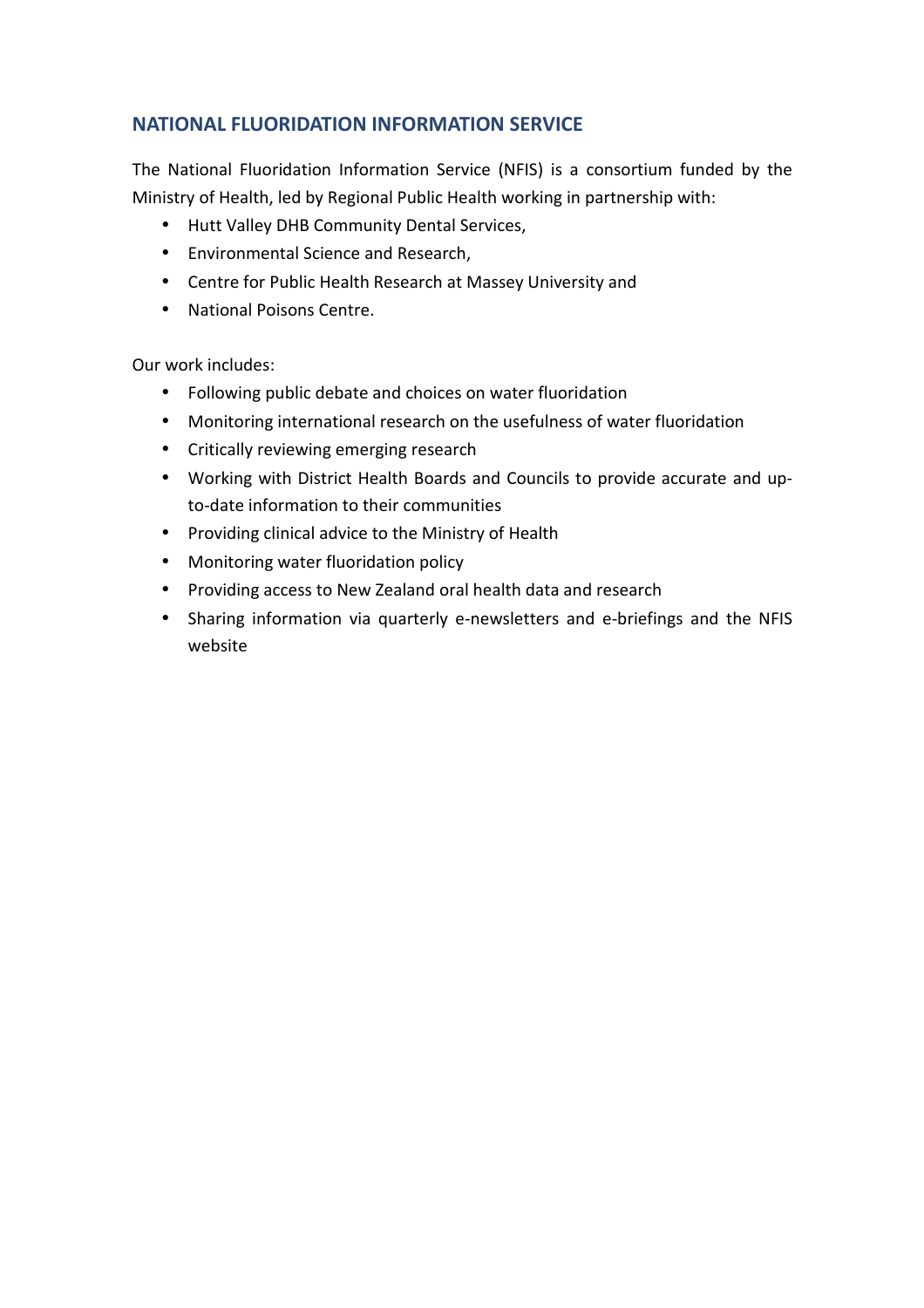# **NATIONAL FLUORIDATION INFORMATION SERVICE**

The National Fluoridation Information Service (NFIS) is a consortium funded by the Ministry of Health, led by Regional Public Health working in partnership with:

- Hutt Valley DHB Community Dental Services,
- Environmental Science and Research,
- Centre for Public Health Research at Massey University and
- National Poisons Centre.

Our work includes:

- Following public debate and choices on water fluoridation
- Monitoring international research on the usefulness of water fluoridation
- Critically reviewing emerging research
- Working with District Health Boards and Councils to provide accurate and upto-date information to their communities
- Providing clinical advice to the Ministry of Health
- Monitoring water fluoridation policy
- Providing access to New Zealand oral health data and research
- Sharing information via quarterly e-newsletters and e-briefings and the NFIS website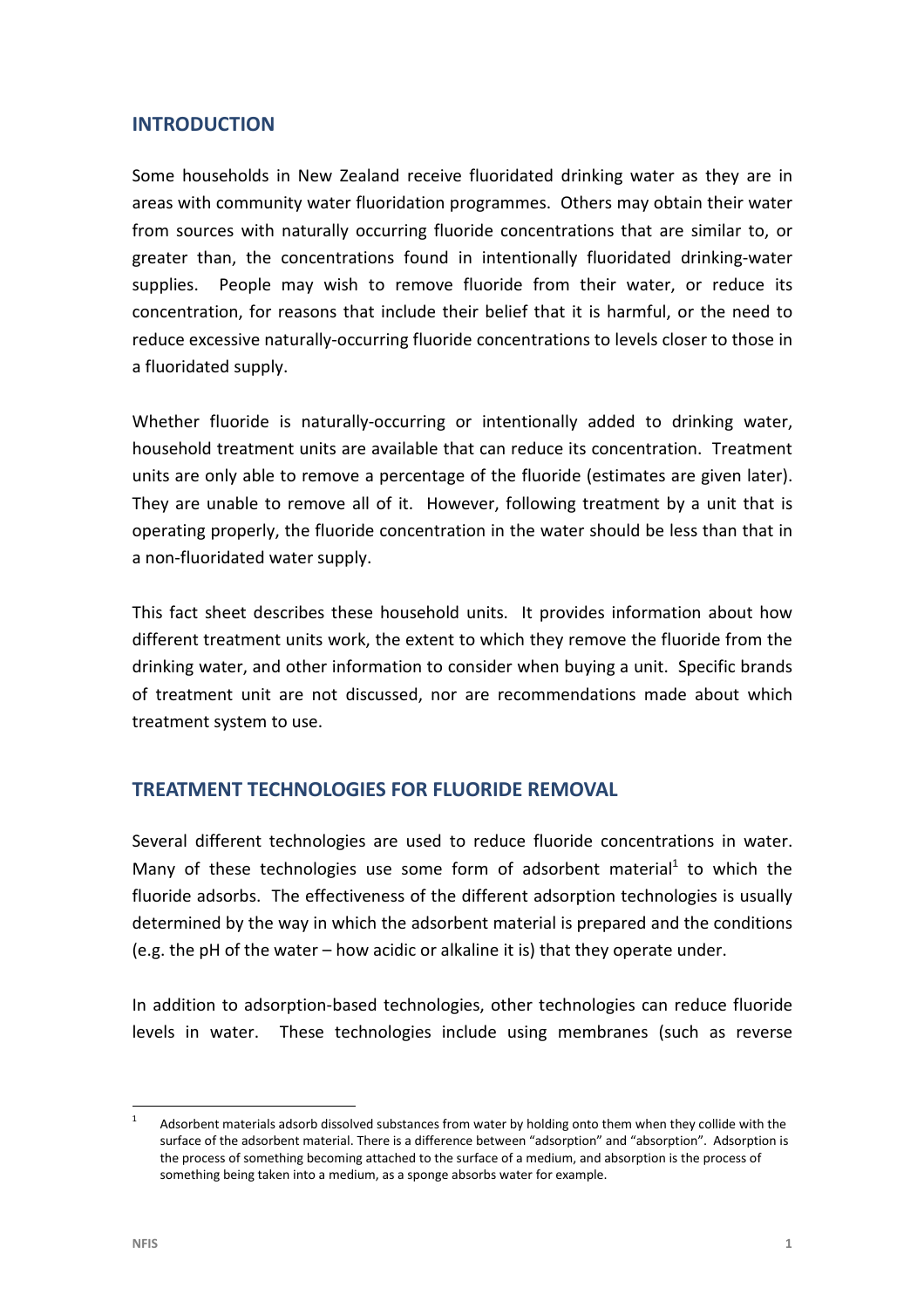## **INTRODUCTION**

Some households in New Zealand receive fluoridated drinking water as they are in areas with community water fluoridation programmes. Others may obtain their water from sources with naturally occurring fluoride concentrations that are similar to, or greater than, the concentrations found in intentionally fluoridated drinking-water supplies. People may wish to remove fluoride from their water, or reduce its concentration, for reasons that include their belief that it is harmful, or the need to reduce excessive naturally-occurring fluoride concentrations to levels closer to those in a fluoridated supply.

Whether fluoride is naturally-occurring or intentionally added to drinking water, household treatment units are available that can reduce its concentration. Treatment units are only able to remove a percentage of the fluoride (estimates are given later). They are unable to remove all of it. However, following treatment by a unit that is operating properly, the fluoride concentration in the water should be less than that in a non-fluoridated water supply.

This fact sheet describes these household units. It provides information about how different treatment units work, the extent to which they remove the fluoride from the drinking water, and other information to consider when buying a unit. Specific brands of treatment unit are not discussed, nor are recommendations made about which treatment system to use.

## **TREATMENT TECHNOLOGIES FOR FLUORIDE REMOVAL**

Several different technologies are used to reduce fluoride concentrations in water. Many of these technologies use some form of adsorbent material<sup>1</sup> to which the fluoride adsorbs. The effectiveness of the different adsorption technologies is usually determined by the way in which the adsorbent material is prepared and the conditions (e.g. the pH of the water – how acidic or alkaline it is) that they operate under.

In addition to adsorption-based technologies, other technologies can reduce fluoride levels in water. These technologies include using membranes (such as reverse

 $\frac{1}{1}$  Adsorbent materials adsorb dissolved substances from water by holding onto them when they collide with the surface of the adsorbent material. There is a difference between "adsorption" and "absorption". Adsorption is the process of something becoming attached to the surface of a medium, and absorption is the process of something being taken into a medium, as a sponge absorbs water for example.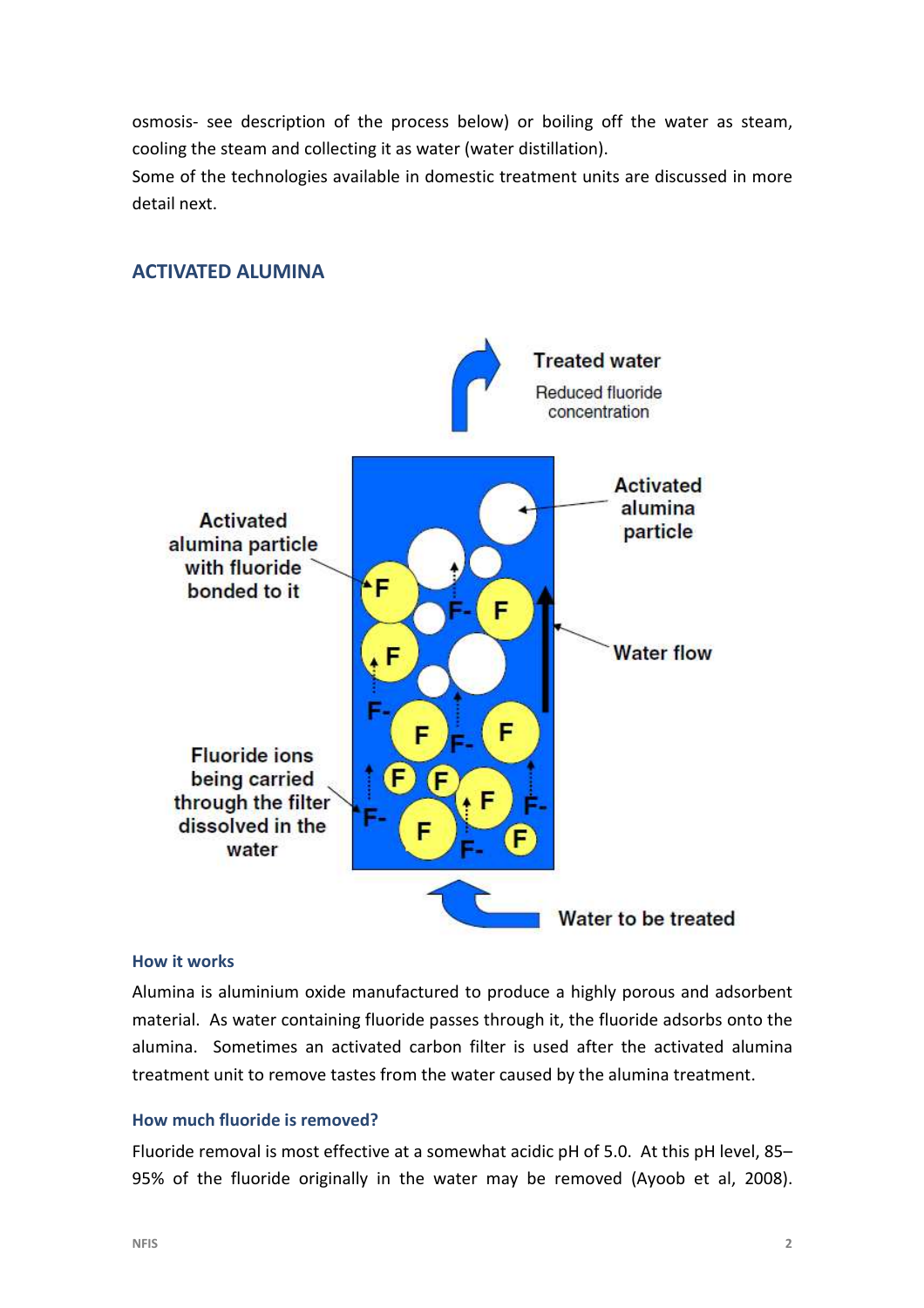osmosis- see description of the process below) or boiling off the water as steam, cooling the steam and collecting it as water (water distillation).

Some of the technologies available in domestic treatment units are discussed in more detail next.

# **Treated water Reduced fluoride** concentration **Activated** alumina **Activated** particle alumina particle with fluoride ٠F bonded to it F **Water flow** F F **Fluoride ions** being carried F through the filter dissolved in the F water Water to be treated

# **ACTIVATED ALUMINA**

#### **How it works**

Alumina is aluminium oxide manufactured to produce a highly porous and adsorbent material. As water containing fluoride passes through it, the fluoride adsorbs onto the alumina. Sometimes an activated carbon filter is used after the activated alumina treatment unit to remove tastes from the water caused by the alumina treatment.

#### **How much fluoride is removed?**

Fluoride removal is most effective at a somewhat acidic pH of 5.0. At this pH level, 85– 95% of the fluoride originally in the water may be removed (Ayoob et al, 2008).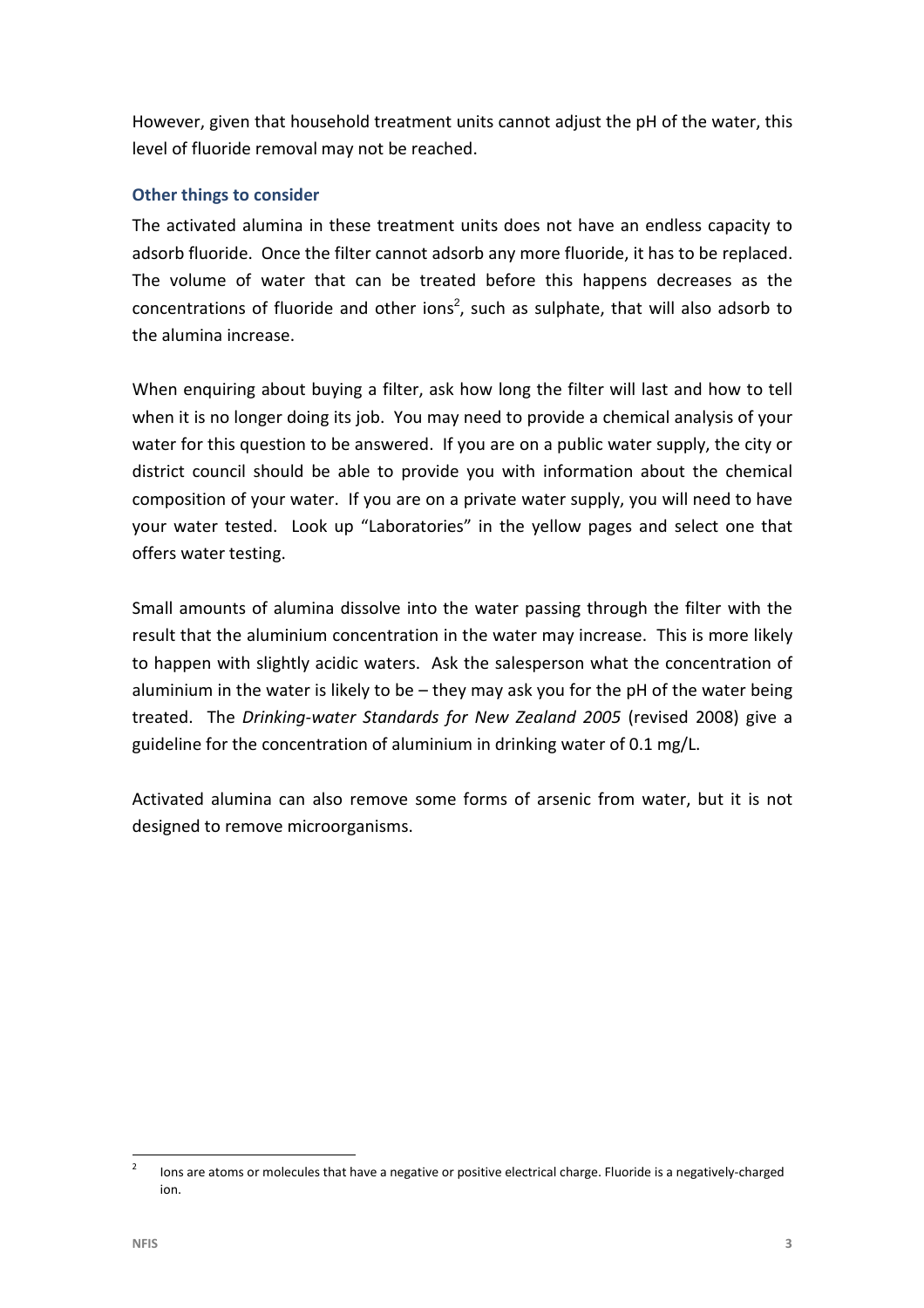However, given that household treatment units cannot adjust the pH of the water, this level of fluoride removal may not be reached.

### **Other things to consider**

The activated alumina in these treatment units does not have an endless capacity to adsorb fluoride. Once the filter cannot adsorb any more fluoride, it has to be replaced. The volume of water that can be treated before this happens decreases as the concentrations of fluoride and other ions<sup>2</sup>, such as sulphate, that will also adsorb to the alumina increase.

When enquiring about buying a filter, ask how long the filter will last and how to tell when it is no longer doing its job. You may need to provide a chemical analysis of your water for this question to be answered. If you are on a public water supply, the city or district council should be able to provide you with information about the chemical composition of your water. If you are on a private water supply, you will need to have your water tested. Look up "Laboratories" in the yellow pages and select one that offers water testing.

Small amounts of alumina dissolve into the water passing through the filter with the result that the aluminium concentration in the water may increase. This is more likely to happen with slightly acidic waters. Ask the salesperson what the concentration of aluminium in the water is likely to be  $-$  they may ask you for the pH of the water being treated. The *Drinking-water Standards for New Zealand 2005* (revised 2008) give a guideline for the concentration of aluminium in drinking water of 0.1 mg/L.

Activated alumina can also remove some forms of arsenic from water, but it is not designed to remove microorganisms.

 $\overline{2}$  Ions are atoms or molecules that have a negative or positive electrical charge. Fluoride is a negatively-charged ion.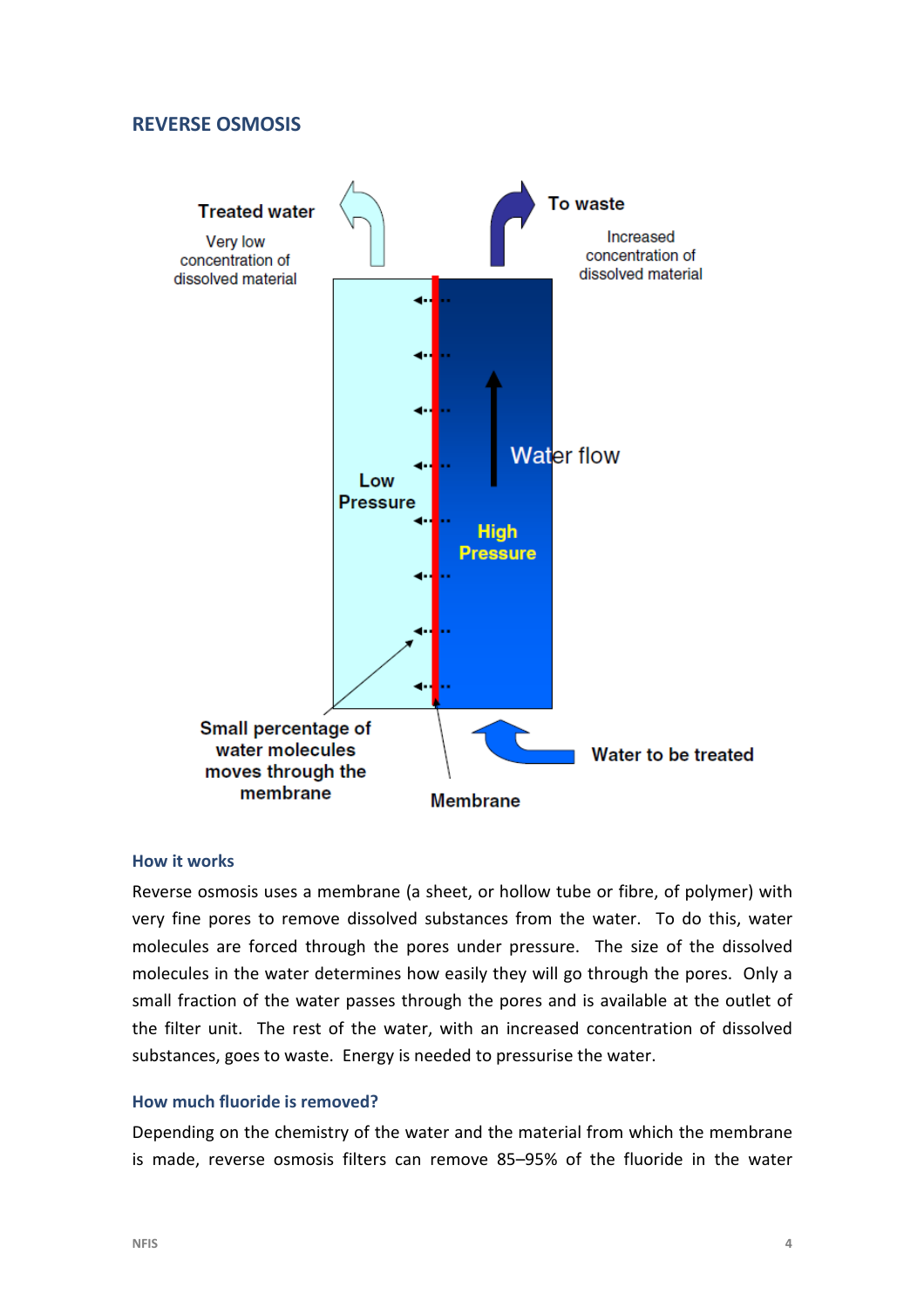#### **REVERSE OSMOSIS**



#### **How it works**

Reverse osmosis uses a membrane (a sheet, or hollow tube or fibre, of polymer) with very fine pores to remove dissolved substances from the water. To do this, water molecules are forced through the pores under pressure. The size of the dissolved molecules in the water determines how easily they will go through the pores. Only a small fraction of the water passes through the pores and is available at the outlet of the filter unit. The rest of the water, with an increased concentration of dissolved substances, goes to waste. Energy is needed to pressurise the water.

#### **How much fluoride is removed?**

Depending on the chemistry of the water and the material from which the membrane is made, reverse osmosis filters can remove 85–95% of the fluoride in the water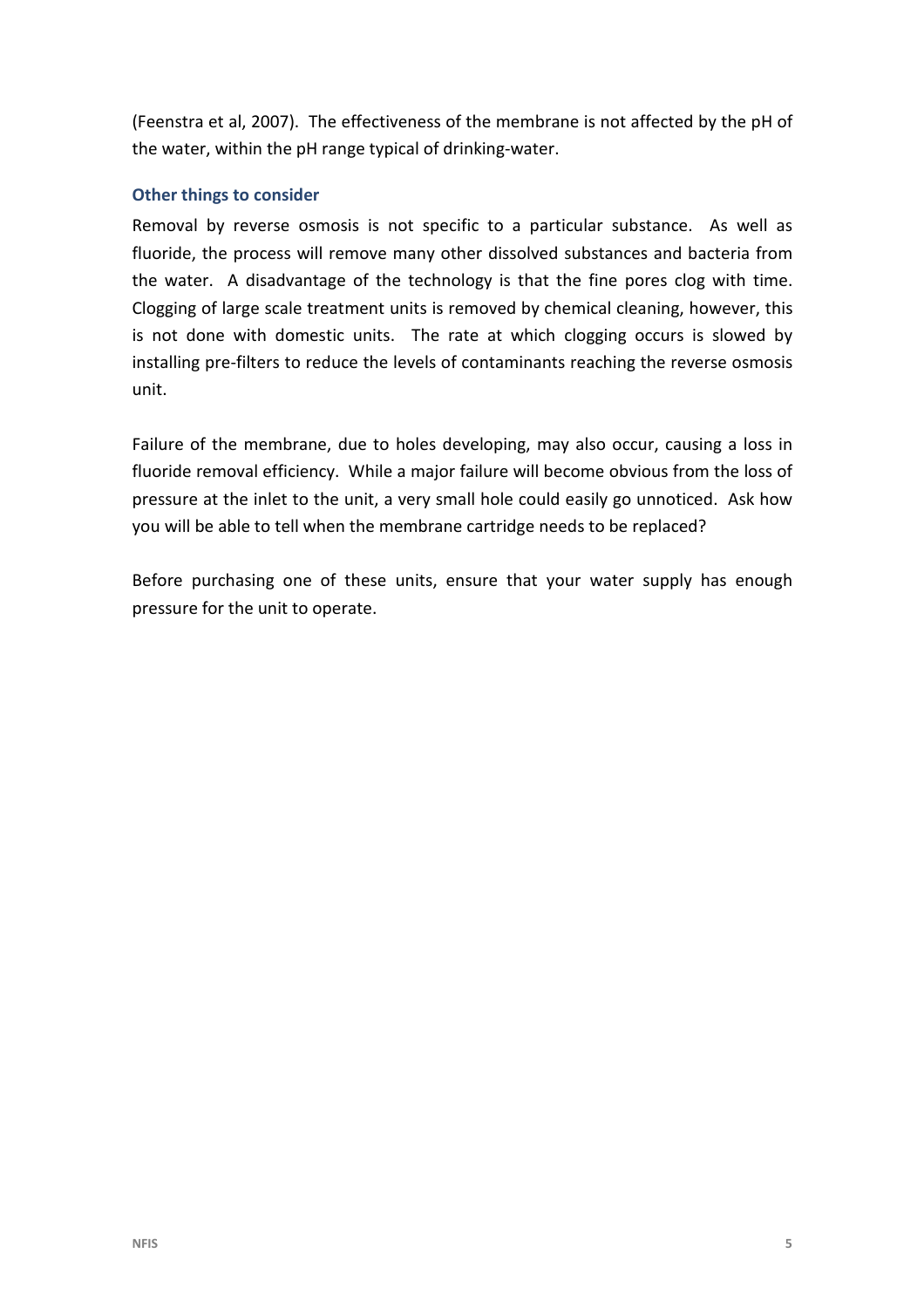(Feenstra et al, 2007). The effectiveness of the membrane is not affected by the pH of the water, within the pH range typical of drinking-water.

## **Other things to consider**

Removal by reverse osmosis is not specific to a particular substance. As well as fluoride, the process will remove many other dissolved substances and bacteria from the water. A disadvantage of the technology is that the fine pores clog with time. Clogging of large scale treatment units is removed by chemical cleaning, however, this is not done with domestic units. The rate at which clogging occurs is slowed by installing pre-filters to reduce the levels of contaminants reaching the reverse osmosis unit.

Failure of the membrane, due to holes developing, may also occur, causing a loss in fluoride removal efficiency. While a major failure will become obvious from the loss of pressure at the inlet to the unit, a very small hole could easily go unnoticed. Ask how you will be able to tell when the membrane cartridge needs to be replaced?

Before purchasing one of these units, ensure that your water supply has enough pressure for the unit to operate.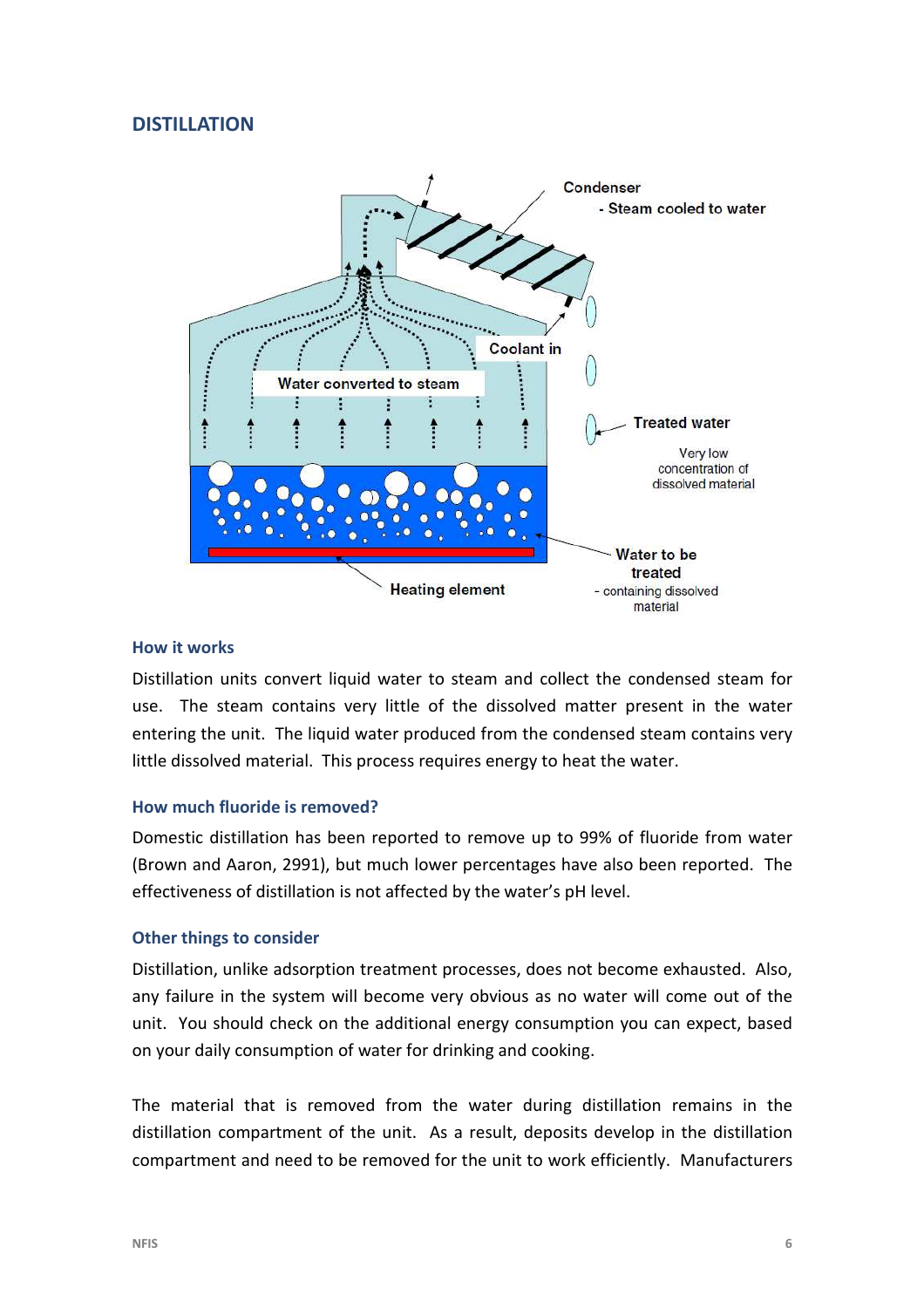# **DISTILLATION**



#### **How it works**

Distillation units convert liquid water to steam and collect the condensed steam for use. The steam contains very little of the dissolved matter present in the water entering the unit. The liquid water produced from the condensed steam contains very little dissolved material. This process requires energy to heat the water.

#### **How much fluoride is removed?**

Domestic distillation has been reported to remove up to 99% of fluoride from water (Brown and Aaron, 2991), but much lower percentages have also been reported. The effectiveness of distillation is not affected by the water's pH level.

#### **Other things to consider**

Distillation, unlike adsorption treatment processes, does not become exhausted. Also, any failure in the system will become very obvious as no water will come out of the unit. You should check on the additional energy consumption you can expect, based on your daily consumption of water for drinking and cooking.

The material that is removed from the water during distillation remains in the distillation compartment of the unit. As a result, deposits develop in the distillation compartment and need to be removed for the unit to work efficiently. Manufacturers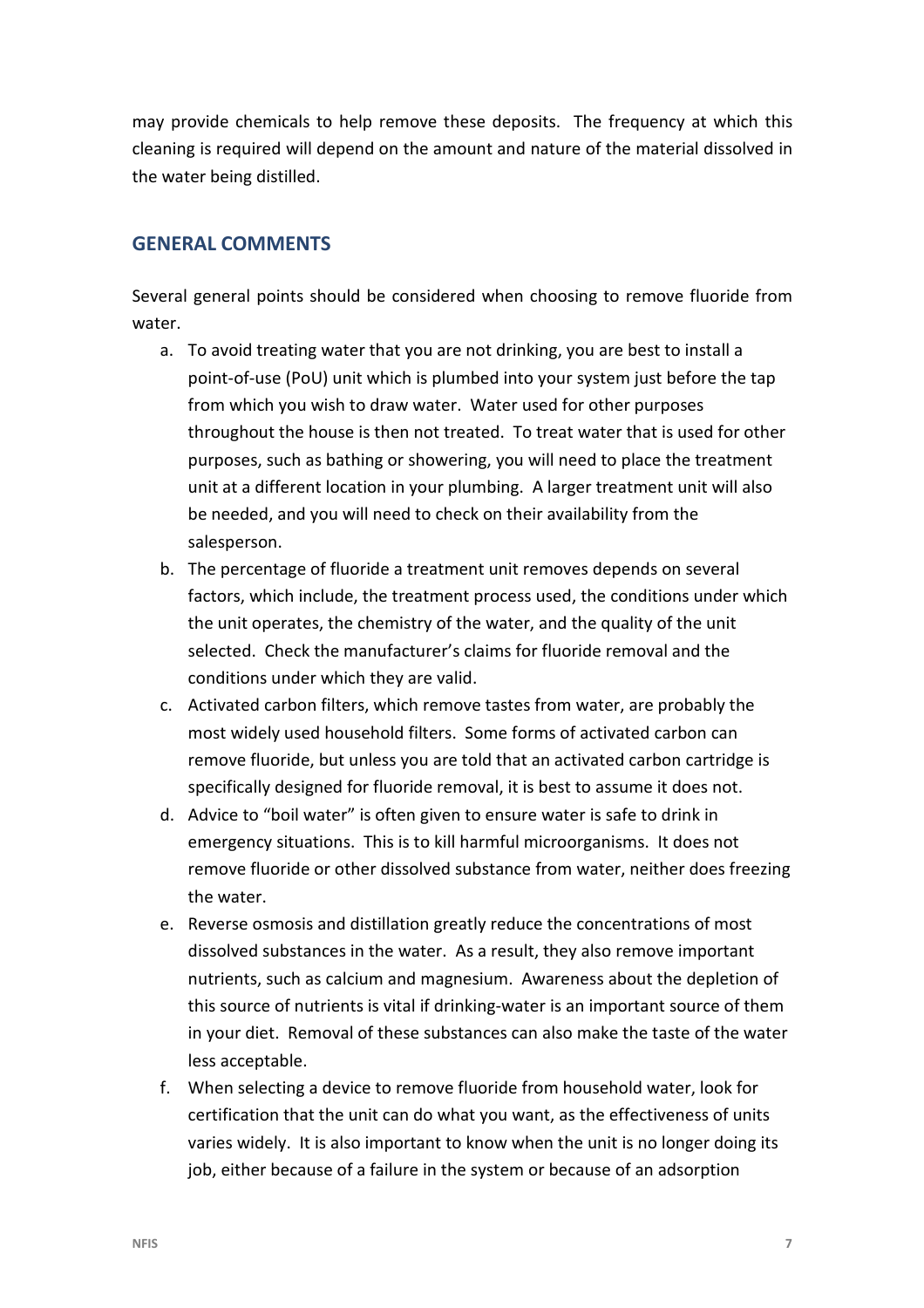may provide chemicals to help remove these deposits. The frequency at which this cleaning is required will depend on the amount and nature of the material dissolved in the water being distilled.

# **GENERAL COMMENTS**

Several general points should be considered when choosing to remove fluoride from water.

- a. To avoid treating water that you are not drinking, you are best to install a point-of-use (PoU) unit which is plumbed into your system just before the tap from which you wish to draw water. Water used for other purposes throughout the house is then not treated. To treat water that is used for other purposes, such as bathing or showering, you will need to place the treatment unit at a different location in your plumbing. A larger treatment unit will also be needed, and you will need to check on their availability from the salesperson.
- b. The percentage of fluoride a treatment unit removes depends on several factors, which include, the treatment process used, the conditions under which the unit operates, the chemistry of the water, and the quality of the unit selected. Check the manufacturer's claims for fluoride removal and the conditions under which they are valid.
- c. Activated carbon filters, which remove tastes from water, are probably the most widely used household filters. Some forms of activated carbon can remove fluoride, but unless you are told that an activated carbon cartridge is specifically designed for fluoride removal, it is best to assume it does not.
- d. Advice to "boil water" is often given to ensure water is safe to drink in emergency situations. This is to kill harmful microorganisms. It does not remove fluoride or other dissolved substance from water, neither does freezing the water.
- e. Reverse osmosis and distillation greatly reduce the concentrations of most dissolved substances in the water. As a result, they also remove important nutrients, such as calcium and magnesium. Awareness about the depletion of this source of nutrients is vital if drinking-water is an important source of them in your diet. Removal of these substances can also make the taste of the water less acceptable.
- f. When selecting a device to remove fluoride from household water, look for certification that the unit can do what you want, as the effectiveness of units varies widely. It is also important to know when the unit is no longer doing its job, either because of a failure in the system or because of an adsorption